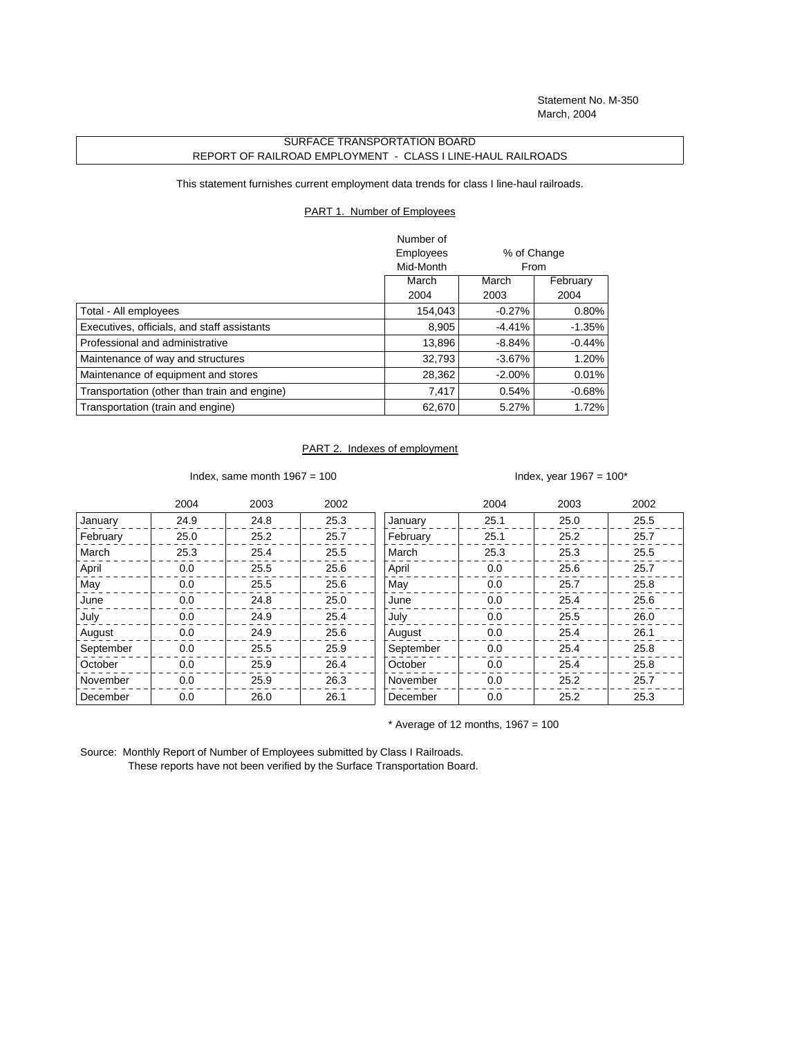Statement No. M-350 March, 2004

## SURFACE TRANSPORTATION BOARD REPORT OF RAILROAD EMPLOYMENT - CLASS I LINE-HAUL RAILROADS

This statement furnishes current employment data trends for class I line-haul railroads.

## PART 1. Number of Employees

|                                              | Number of |             |           |
|----------------------------------------------|-----------|-------------|-----------|
|                                              | Employees | % of Change |           |
|                                              | Mid-Month |             | From      |
|                                              | March     | March       | February  |
|                                              | 2004      | 2003        | 2004      |
| Total - All employees                        | 154,043   | $-0.27%$    | $0.80\%$  |
| Executives, officials, and staff assistants  | 8,905     | $-4.41%$    | $-1.35%$  |
| Professional and administrative              | 13,896    | $-8.84%$    | $-0.44\%$ |
| Maintenance of way and structures            | 32,793    | $-3.67%$    | 1.20%     |
| Maintenance of equipment and stores          | 28,362    | $-2.00\%$   | 0.01%     |
| Transportation (other than train and engine) | 7,417     | 0.54%       | $-0.68%$  |
| Transportation (train and engine)            | 62,670    | 5.27%       | 1.72%     |

## PART 2. Indexes of employment

Index, same month  $1967 = 100$  Index, year  $1967 = 100^*$ 

|           | 2004 | 2003 | 2002 |           | 2004 | 2003 | 2002 |
|-----------|------|------|------|-----------|------|------|------|
| January   | 24.9 | 24.8 | 25.3 | January   | 25.1 | 25.0 | 25.5 |
| February  | 25.0 | 25.2 | 25.7 | February  | 25.1 | 25.2 | 25.7 |
| March     | 25.3 | 25.4 | 25.5 | March     | 25.3 | 25.3 | 25.5 |
| April     | 0.0  | 25.5 | 25.6 | April     | 0.0  | 25.6 | 25.7 |
| May       | 0.0  | 25.5 | 25.6 | May       | 0.0  | 25.7 | 25.8 |
| June      | 0.0  | 24.8 | 25.0 | June      | 0.0  | 25.4 | 25.6 |
| July      | 0.0  | 24.9 | 25.4 | July      | 0.0  | 25.5 | 26.0 |
| August    | 0.0  | 24.9 | 25.6 | August    | 0.0  | 25.4 | 26.1 |
| September | 0.0  | 25.5 | 25.9 | September | 0.0  | 25.4 | 25.8 |
| October   | 0.0  | 25.9 | 26.4 | October   | 0.0  | 25.4 | 25.8 |
| November  | 0.0  | 25.9 | 26.3 | November  | 0.0  | 25.2 | 25.7 |
| December  | 0.0  | 26.0 | 26.1 | December  | 0.0  | 25.2 | 25.3 |

 $*$  Average of 12 months, 1967 = 100

Source: Monthly Report of Number of Employees submitted by Class I Railroads. These reports have not been verified by the Surface Transportation Board.